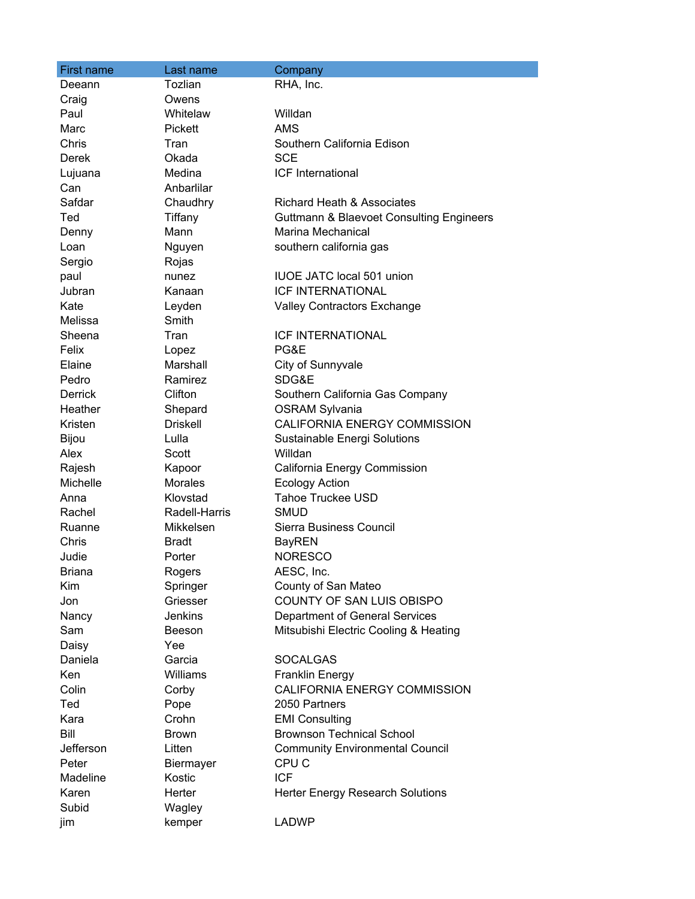| First name     | Last name       | Company                                             |
|----------------|-----------------|-----------------------------------------------------|
| Deeann         | Tozlian         | RHA, Inc.                                           |
| Craig          | Owens           |                                                     |
| Paul           | Whitelaw        | Willdan                                             |
| Marc           | Pickett         | <b>AMS</b>                                          |
| Chris          | Tran            | Southern California Edison                          |
| Derek          | Okada           | <b>SCE</b>                                          |
| Lujuana        | Medina          | ICF International                                   |
| Can            | Anbarlilar      |                                                     |
| Safdar         | Chaudhry        | <b>Richard Heath &amp; Associates</b>               |
| Ted            | Tiffany         | <b>Guttmann &amp; Blaevoet Consulting Engineers</b> |
| Denny          | Mann            | Marina Mechanical                                   |
| Loan           | Nguyen          | southern california gas                             |
| Sergio         | Rojas           |                                                     |
| paul           | nunez           | <b>IUOE JATC local 501 union</b>                    |
| Jubran         | Kanaan          | <b>ICF INTERNATIONAL</b>                            |
| Kate           | Leyden          | Valley Contractors Exchange                         |
| Melissa        | Smith           |                                                     |
| Sheena         | Tran            | <b>ICF INTERNATIONAL</b>                            |
| Felix          | Lopez           | PG&E                                                |
| Elaine         | Marshall        | City of Sunnyvale                                   |
| Pedro          | Ramirez         | SDG&E                                               |
| <b>Derrick</b> | Clifton         | Southern California Gas Company                     |
| Heather        | Shepard         | <b>OSRAM Sylvania</b>                               |
| Kristen        | <b>Driskell</b> | CALIFORNIA ENERGY COMMISSION                        |
| Bijou          | Lulla           | Sustainable Energi Solutions                        |
| Alex           | Scott           | Willdan                                             |
| Rajesh         | Kapoor          | California Energy Commission                        |
| Michelle       | Morales         | <b>Ecology Action</b>                               |
| Anna           | Klovstad        | <b>Tahoe Truckee USD</b>                            |
| Rachel         | Radell-Harris   | <b>SMUD</b>                                         |
| Ruanne         | Mikkelsen       | Sierra Business Council                             |
| Chris          | <b>Bradt</b>    | <b>BayREN</b>                                       |
| Judie          | Porter          | <b>NORESCO</b>                                      |
| <b>Briana</b>  | Rogers          | AESC, Inc.                                          |
| Kim            | Springer        | County of San Mateo                                 |
| Jon            | Griesser        | COUNTY OF SAN LUIS OBISPO                           |
| Nancy          | <b>Jenkins</b>  | Department of General Services                      |
| Sam            | Beeson          | Mitsubishi Electric Cooling & Heating               |
| Daisy          | Yee             |                                                     |
| Daniela        | Garcia          | <b>SOCALGAS</b>                                     |
| Ken            | Williams        | <b>Franklin Energy</b>                              |
| Colin          | Corby           | CALIFORNIA ENERGY COMMISSION                        |
| Ted            | Pope            | 2050 Partners                                       |
| Kara           | Crohn           | <b>EMI Consulting</b>                               |
| Bill           | <b>Brown</b>    | <b>Brownson Technical School</b>                    |
| Jefferson      | Litten          | <b>Community Environmental Council</b>              |
| Peter          | Biermayer       | CPU <sub>C</sub>                                    |
| Madeline       | Kostic          | <b>ICF</b>                                          |
| Karen          | Herter          | Herter Energy Research Solutions                    |
| Subid          | Wagley          |                                                     |
| jim            | kemper          | <b>LADWP</b>                                        |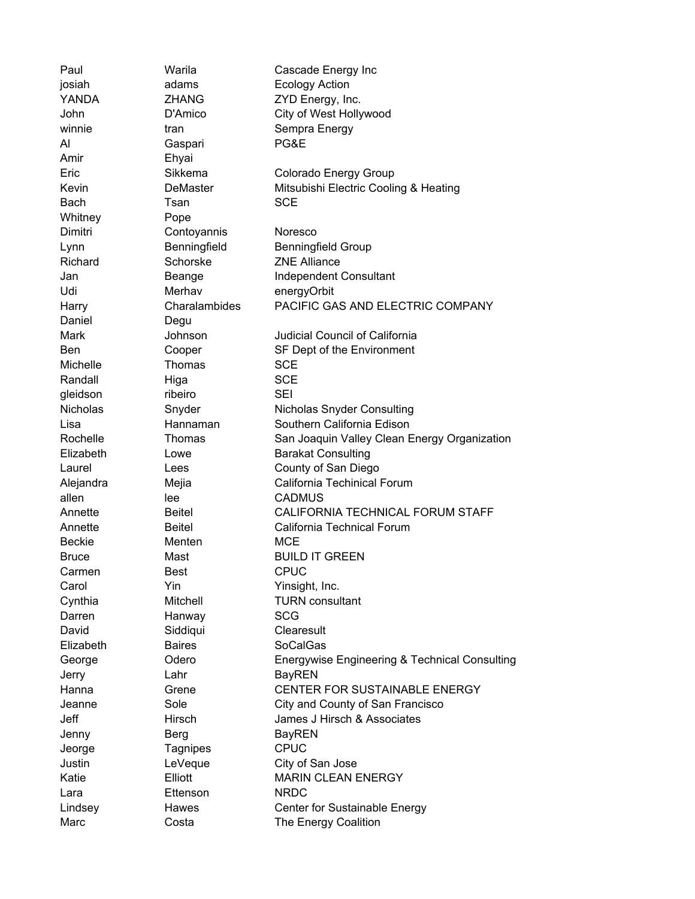| Paul         | Warila          | Cascade Energy Inc                            |
|--------------|-----------------|-----------------------------------------------|
| josiah       | adams           | <b>Ecology Action</b>                         |
| YANDA        | <b>ZHANG</b>    | ZYD Energy, Inc.                              |
| John         | D'Amico         | City of West Hollywood                        |
| winnie       | tran            | Sempra Energy                                 |
| Al           | Gaspari         | PG&E                                          |
| Amir         | Ehyai           |                                               |
| Eric         | Sikkema         | Colorado Energy Group                         |
| Kevin        | <b>DeMaster</b> | Mitsubishi Electric Cooling & Heating         |
| Bach         | Tsan            | <b>SCE</b>                                    |
| Whitney      | Pope            |                                               |
| Dimitri      | Contoyannis     | Noresco                                       |
| Lynn         | Benningfield    | <b>Benningfield Group</b>                     |
| Richard      | Schorske        | <b>ZNE Alliance</b>                           |
| Jan          | Beange          | Independent Consultant                        |
| Udi          | Merhav          | energyOrbit                                   |
| Harry        | Charalambides   | PACIFIC GAS AND ELECTRIC COMPANY              |
| Daniel       | Degu            |                                               |
| Mark         | Johnson         | Judicial Council of California                |
| Ben          | Cooper          | SF Dept of the Environment                    |
| Michelle     | Thomas          | <b>SCE</b>                                    |
| Randall      | Higa            | <b>SCE</b>                                    |
| gleidson     | ribeiro         | <b>SEI</b>                                    |
| Nicholas     | Snyder          | Nicholas Snyder Consulting                    |
| Lisa         | Hannaman        | Southern California Edison                    |
| Rochelle     | Thomas          | San Joaquin Valley Clean Energy Organization  |
| Elizabeth    | Lowe            | <b>Barakat Consulting</b>                     |
| Laurel       | Lees            | County of San Diego                           |
| Alejandra    | Mejia           | California Techinical Forum                   |
| allen        | lee             | <b>CADMUS</b>                                 |
| Annette      | <b>Beitel</b>   | CALIFORNIA TECHNICAL FORUM STAFF              |
| Annette      | <b>Beitel</b>   | California Technical Forum                    |
| Beckie       | Menten          | MCE                                           |
| <b>Bruce</b> | Mast            | <b>BUILD IT GREEN</b>                         |
|              |                 |                                               |
| Carmen       | Best            | <b>CPUC</b>                                   |
| Carol        | Yin             | Yinsight, Inc.                                |
| Cynthia      | Mitchell        | <b>TURN</b> consultant                        |
| Darren       | Hanway          | <b>SCG</b>                                    |
| David        | Siddiqui        | Clearesult                                    |
| Elizabeth    | <b>Baires</b>   | <b>SoCalGas</b>                               |
| George       | Odero           | Energywise Engineering & Technical Consulting |
| Jerry        | Lahr            | <b>BayREN</b>                                 |
| Hanna        | Grene           | CENTER FOR SUSTAINABLE ENERGY                 |
| Jeanne       | Sole            | City and County of San Francisco              |
| Jeff         | Hirsch          | James J Hirsch & Associates                   |
| Jenny        | <b>Berg</b>     | <b>BayREN</b>                                 |
| Jeorge       | Tagnipes        | <b>CPUC</b>                                   |
| Justin       | LeVeque         | City of San Jose                              |
| Katie        | Elliott         | <b>MARIN CLEAN ENERGY</b>                     |
| Lara         | Ettenson        | <b>NRDC</b>                                   |
| Lindsey      | Hawes           | Center for Sustainable Energy                 |
| Marc         | Costa           | The Energy Coalition                          |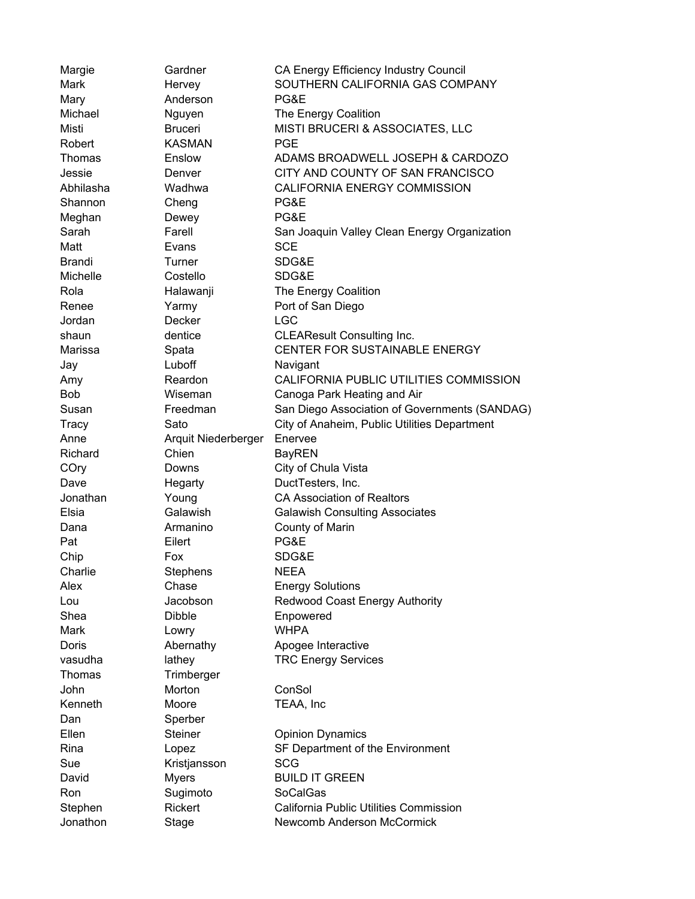| Margie        | Gardner             | CA Energy Efficiency Industry Council         |
|---------------|---------------------|-----------------------------------------------|
| Mark          | Hervey              | SOUTHERN CALIFORNIA GAS COMPANY               |
| Mary          | Anderson            | PG&E                                          |
| Michael       | Nguyen              | The Energy Coalition                          |
| Misti         | <b>Bruceri</b>      | MISTI BRUCERI & ASSOCIATES, LLC               |
| Robert        | <b>KASMAN</b>       | <b>PGE</b>                                    |
| <b>Thomas</b> | Enslow              | ADAMS BROADWELL JOSEPH & CARDOZO              |
| Jessie        | Denver              | CITY AND COUNTY OF SAN FRANCISCO              |
| Abhilasha     | Wadhwa              | <b>CALIFORNIA ENERGY COMMISSION</b>           |
| Shannon       | Cheng               | PG&E                                          |
| Meghan        | Dewey               | PG&E                                          |
| Sarah         | Farell              | San Joaquin Valley Clean Energy Organization  |
| Matt          | Evans               | <b>SCE</b>                                    |
| <b>Brandi</b> | Turner              | SDG&E                                         |
| Michelle      | Costello            | SDG&E                                         |
| Rola          | Halawanji           | The Energy Coalition                          |
| Renee         | Yarmy               | Port of San Diego                             |
| Jordan        | Decker              | <b>LGC</b>                                    |
| shaun         | dentice             | <b>CLEAResult Consulting Inc.</b>             |
| Marissa       | Spata               | <b>CENTER FOR SUSTAINABLE ENERGY</b>          |
| Jay           | Luboff              | Navigant                                      |
| Amy           | Reardon             | CALIFORNIA PUBLIC UTILITIES COMMISSION        |
| <b>Bob</b>    | Wiseman             | Canoga Park Heating and Air                   |
| Susan         | Freedman            | San Diego Association of Governments (SANDAG) |
| Tracy         | Sato                | City of Anaheim, Public Utilities Department  |
| Anne          | Arquit Niederberger | Enervee                                       |
| Richard       | Chien               | <b>BayREN</b>                                 |
| COry          | Downs               | City of Chula Vista                           |
| Dave          | Hegarty             | DuctTesters, Inc.                             |
| Jonathan      | Young               | <b>CA Association of Realtors</b>             |
| Elsia         | Galawish            | <b>Galawish Consulting Associates</b>         |
| Dana          | Armanino            | County of Marin                               |
| Pat           | Eilert              | PG&E                                          |
| Chip          | Fox                 | SDG&E                                         |
| Charlie       |                     | NEEA                                          |
|               | Stephens            |                                               |
| Alex          | Chase<br>Jacobson   | <b>Energy Solutions</b>                       |
| Lou<br>Shea   | <b>Dibble</b>       | Redwood Coast Energy Authority                |
|               |                     | Enpowered<br><b>WHPA</b>                      |
| Mark          | Lowry               |                                               |
| Doris         | Abernathy           | Apogee Interactive                            |
| vasudha       | lathey              | <b>TRC Energy Services</b>                    |
| Thomas        | Trimberger          |                                               |
| John          | Morton              | ConSol                                        |
| Kenneth       | Moore               | TEAA, Inc                                     |
| Dan           | Sperber             |                                               |
| Ellen         | <b>Steiner</b>      | <b>Opinion Dynamics</b>                       |
| Rina          | Lopez               | SF Department of the Environment              |
| Sue           | Kristjansson        | <b>SCG</b>                                    |
| David         | Myers               | <b>BUILD IT GREEN</b>                         |
| Ron           | Sugimoto            | SoCalGas                                      |
| Stephen       | Rickert             | California Public Utilities Commission        |
| Jonathon      | Stage               | Newcomb Anderson McCormick                    |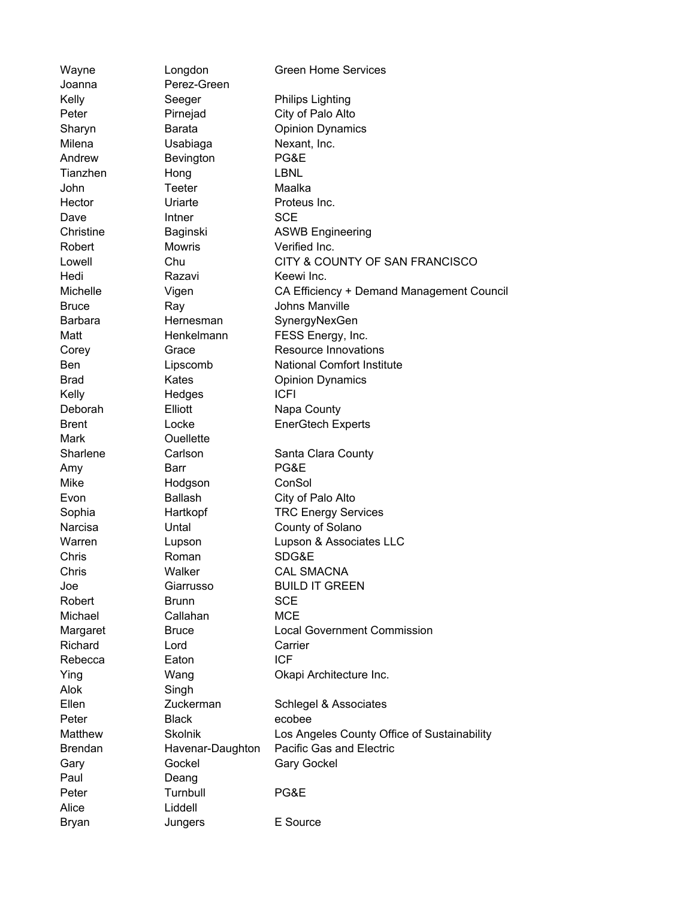| Wayne          | Longdon                    | <b>Green Home Services</b>                  |
|----------------|----------------------------|---------------------------------------------|
| Joanna         | Perez-Green                |                                             |
| Kelly          | Seeger                     | <b>Philips Lighting</b>                     |
| Peter          | Pirnejad                   | City of Palo Alto                           |
| Sharyn         | Barata                     | <b>Opinion Dynamics</b>                     |
| Milena         | Usabiaga                   | Nexant, Inc.                                |
| Andrew         | Bevington                  | PG&E                                        |
| Tianzhen       | Hong                       | LBNL                                        |
| John           | <b>Teeter</b>              | Maalka                                      |
| Hector         | Uriarte                    | Proteus Inc.                                |
| Dave           | Intner                     | <b>SCE</b>                                  |
| Christine      | Baginski                   | <b>ASWB Engineering</b>                     |
| Robert         | <b>Mowris</b>              | Verified Inc.                               |
| Lowell         | Chu                        | CITY & COUNTY OF SAN FRANCISCO              |
| Hedi           | Razavi                     | Keewi Inc.                                  |
| Michelle       | Vigen                      | CA Efficiency + Demand Management Council   |
| <b>Bruce</b>   | Ray                        | Johns Manville                              |
| <b>Barbara</b> | Hernesman                  | SynergyNexGen                               |
| Matt           | Henkelmann                 | FESS Energy, Inc.                           |
| Corey          | Grace                      | Resource Innovations                        |
| <b>Ben</b>     | Lipscomb                   | <b>National Comfort Institute</b>           |
| <b>Brad</b>    | Kates                      | <b>Opinion Dynamics</b>                     |
| Kelly          | Hedges                     | <b>ICFI</b>                                 |
| Deborah        | Elliott                    | Napa County                                 |
| <b>Brent</b>   | Locke                      | <b>EnerGtech Experts</b>                    |
| Mark           | <b>Ouellette</b>           |                                             |
| Sharlene       | Carlson                    | Santa Clara County                          |
| Amy            | Barr                       | PG&E                                        |
| Mike           | Hodgson                    | ConSol                                      |
| Evon           | <b>Ballash</b>             | City of Palo Alto                           |
| Sophia         | Hartkopf                   | <b>TRC Energy Services</b>                  |
| Narcisa        | Untal                      | County of Solano                            |
| Warren         | Lupson                     | Lupson & Associates LLC                     |
| Chris          | Roman                      | SDG&E                                       |
| Chris          | Walker                     | CAL SMACNA                                  |
| Joe            | Giarrusso                  | <b>BUILD IT GREEN</b>                       |
| Robert         | <b>Brunn</b>               | <b>SCE</b>                                  |
| Michael        | Callahan                   | <b>MCE</b>                                  |
| Margaret       | <b>Bruce</b>               | <b>Local Government Commission</b>          |
| Richard        | Lord                       | Carrier                                     |
| Rebecca        | Eaton                      | <b>ICF</b>                                  |
| Ying           | Wang                       | Okapi Architecture Inc.                     |
| Alok           | Singh                      |                                             |
| Ellen          | Zuckerman                  | Schlegel & Associates                       |
| Peter          | <b>Black</b>               | ecobee                                      |
| Matthew        | Skolnik                    | Los Angeles County Office of Sustainability |
| <b>Brendan</b> |                            | Pacific Gas and Electric                    |
|                | Havenar-Daughton<br>Gockel | <b>Gary Gockel</b>                          |
| Gary<br>Paul   |                            |                                             |
| Peter          | Deang<br>Turnbull          | PG&E                                        |
| Alice          | Liddell                    |                                             |
|                |                            |                                             |
| <b>Bryan</b>   | Jungers                    | E Source                                    |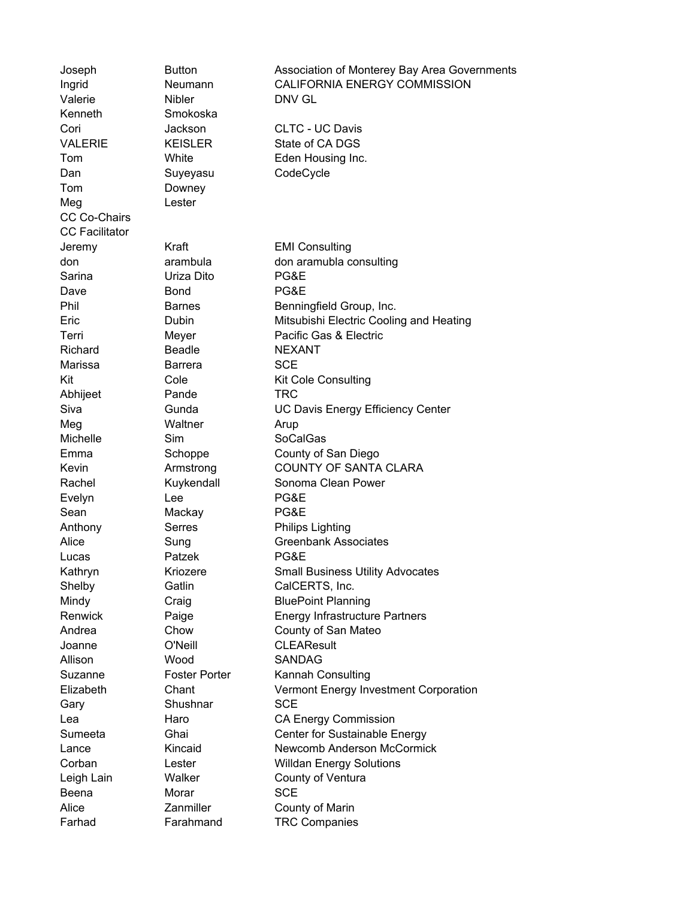| Joseph                | <b>Button</b>        | Association of Monterey Bay Area Governments |
|-----------------------|----------------------|----------------------------------------------|
| Ingrid                | Neumann              | <b>CALIFORNIA ENERGY COMMISSION</b>          |
| Valerie               | <b>Nibler</b>        | DNV GL                                       |
| Kenneth               | Smokoska             |                                              |
| Cori                  | Jackson              | <b>CLTC - UC Davis</b>                       |
| <b>VALERIE</b>        | <b>KEISLER</b>       | State of CA DGS                              |
| Tom                   | White                | Eden Housing Inc.                            |
| Dan                   | Suyeyasu             | CodeCycle                                    |
| Tom                   | Downey               |                                              |
| Meg                   | Lester               |                                              |
| CC Co-Chairs          |                      |                                              |
| <b>CC Facilitator</b> |                      |                                              |
| Jeremy                | Kraft                | <b>EMI Consulting</b>                        |
| don                   | arambula             | don aramubla consulting                      |
| Sarina                | Uriza Dito           | PG&E                                         |
| Dave                  | <b>Bond</b>          | PG&E                                         |
| Phil                  | <b>Barnes</b>        | Benningfield Group, Inc.                     |
| Eric                  | Dubin                | Mitsubishi Electric Cooling and Heating      |
| Terri                 | Meyer                | Pacific Gas & Electric                       |
| Richard               | <b>Beadle</b>        | <b>NEXANT</b>                                |
| Marissa               | <b>Barrera</b>       | <b>SCE</b>                                   |
| Kit                   | Cole                 | <b>Kit Cole Consulting</b>                   |
| Abhijeet              | Pande                | <b>TRC</b>                                   |
| Siva                  | Gunda                | <b>UC Davis Energy Efficiency Center</b>     |
| Meg                   | Waltner              | Arup                                         |
| Michelle              | Sim                  | <b>SoCalGas</b>                              |
| Emma                  | Schoppe              | County of San Diego                          |
| Kevin                 | Armstrong            | <b>COUNTY OF SANTA CLARA</b>                 |
| Rachel                | Kuykendall           | Sonoma Clean Power                           |
| Evelyn                | Lee                  | PG&E                                         |
| Sean                  | Mackay               | PG&E                                         |
| Anthony               | Serres               | <b>Philips Lighting</b>                      |
| Alice                 | Sung                 | <b>Greenbank Associates</b>                  |
| Lucas                 | Patzek               | PG&E                                         |
| Kathryn               | Kriozere             | <b>Small Business Utility Advocates</b>      |
| Shelby                | Gatlin               | CalCERTS, Inc.                               |
| Mindy                 | Craig                | <b>BluePoint Planning</b>                    |
| Renwick               | Paige                | <b>Energy Infrastructure Partners</b>        |
| Andrea                | Chow                 | County of San Mateo                          |
| Joanne                | O'Neill              | <b>CLEAResult</b>                            |
| Allison               | Wood                 | <b>SANDAG</b>                                |
| Suzanne               | <b>Foster Porter</b> | Kannah Consulting                            |
| Elizabeth             | Chant                | Vermont Energy Investment Corporation        |
| Gary                  | Shushnar             | <b>SCE</b>                                   |
| Lea                   | Haro                 | <b>CA Energy Commission</b>                  |
| Sumeeta               | Ghai                 | Center for Sustainable Energy                |
|                       | Kincaid              | <b>Newcomb Anderson McCormick</b>            |
| Lance                 |                      |                                              |
| Corban                | Lester<br>Walker     | <b>Willdan Energy Solutions</b>              |
| Leigh Lain            |                      | County of Ventura                            |
| Beena                 | Morar                | <b>SCE</b>                                   |
| Alice                 | Zanmiller            | County of Marin                              |
| Farhad                | Farahmand            | <b>TRC Companies</b>                         |